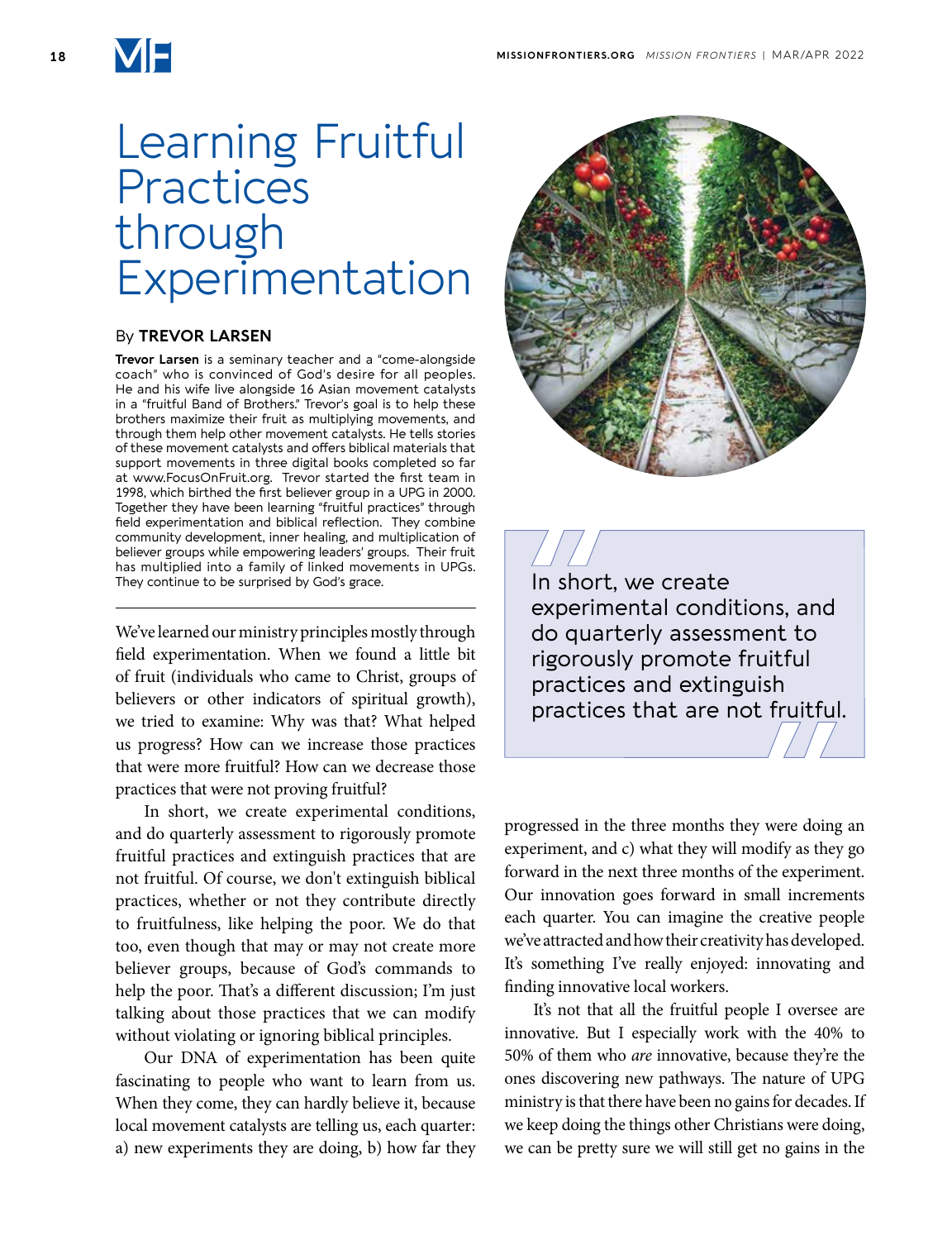

## Learning Fruitful **Practices** through Experimentation

## By **TREVOR LARSEN**

**Trevor Larsen** is a seminary teacher and a "come-alongside coach" who is convinced of God's desire for all peoples. He and his wife live alongside 16 Asian movement catalysts in a "fruitful Band of Brothers." Trevor's goal is to help these brothers maximize their fruit as multiplying movements, and through them help other movement catalysts. He tells stories of these movement catalysts and offers biblical materials that support movements in three digital books completed so far at www.FocusOnFruit.org. Trevor started the first team in 1998, which birthed the first believer group in a UPG in 2000. Together they have been learning "fruitful practices" through field experimentation and biblical reflection. They combine community development, inner healing, and multiplication of believer groups while empowering leaders' groups. Their fruit has multiplied into a family of linked movements in UPGs. They continue to be surprised by God's grace.

We've learned our ministry principles mostly through field experimentation. When we found a little bit of fruit (individuals who came to Christ, groups of believers or other indicators of spiritual growth), we tried to examine: Why was that? What helped us progress? How can we increase those practices that were more fruitful? How can we decrease those practices that were not proving fruitful?

In short, we create experimental conditions, and do quarterly assessment to rigorously promote fruitful practices and extinguish practices that are not fruitful. Of course, we don't extinguish biblical practices, whether or not they contribute directly to fruitfulness, like helping the poor. We do that too, even though that may or may not create more believer groups, because of God's commands to help the poor. That's a different discussion; I'm just talking about those practices that we can modify without violating or ignoring biblical principles.

Our DNA of experimentation has been quite fascinating to people who want to learn from us. When they come, they can hardly believe it, because local movement catalysts are telling us, each quarter: a) new experiments they are doing, b) how far they



In short, we create experimental conditions, and do quarterly assessment to rigorously promote fruitful practices and extinguish practices that are not fruitful.

progressed in the three months they were doing an experiment, and c) what they will modify as they go forward in the next three months of the experiment. Our innovation goes forward in small increments each quarter. You can imagine the creative people we've attracted and how their creativity has developed. It's something I've really enjoyed: innovating and finding innovative local workers.

It's not that all the fruitful people I oversee are innovative. But I especially work with the 40% to 50% of them who *are* innovative, because they're the ones discovering new pathways. The nature of UPG ministry is that there have been no gains for decades. If we keep doing the things other Christians were doing, we can be pretty sure we will still get no gains in the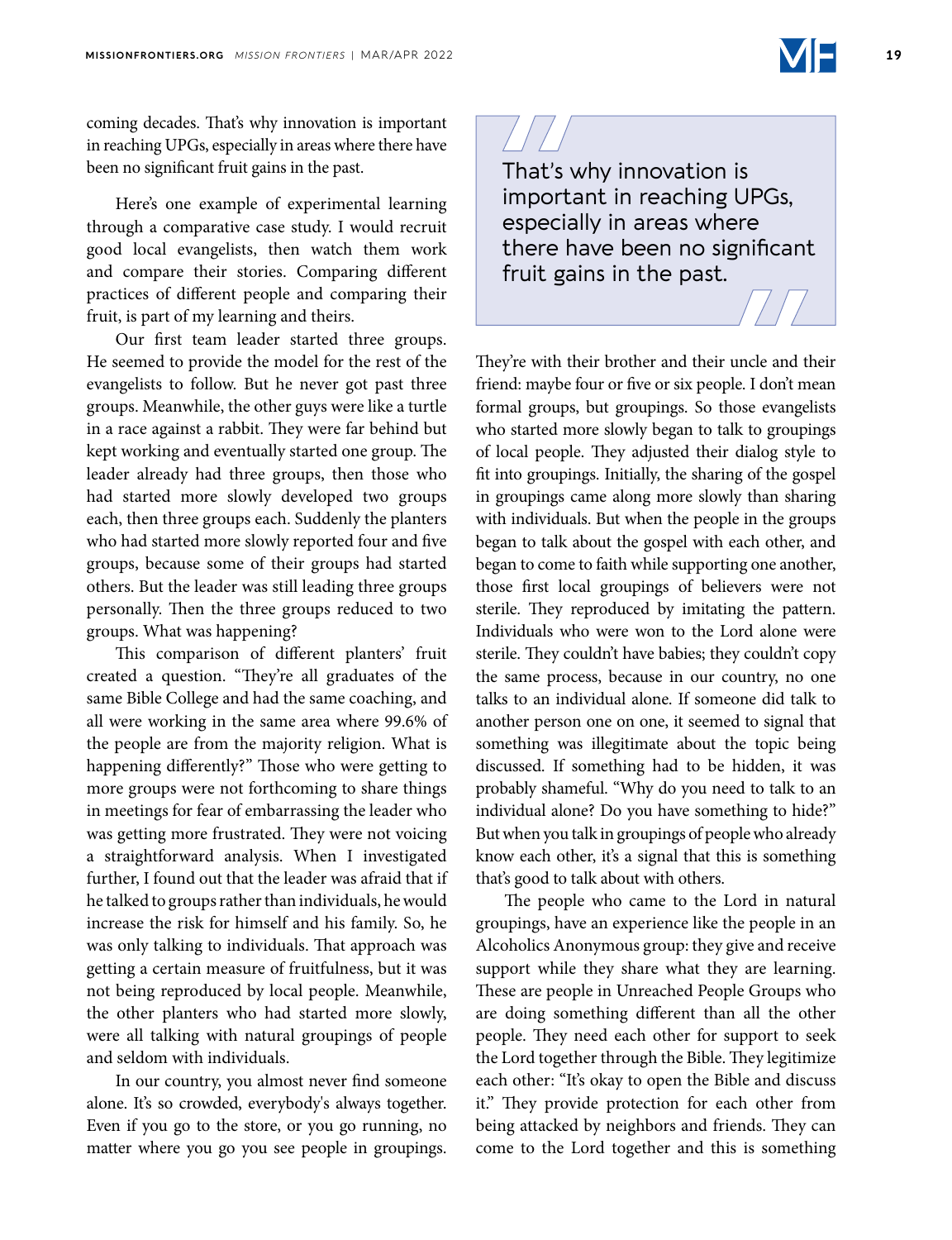coming decades. That's why innovation is important in reaching UPGs, especially in areas where there have been no significant fruit gains in the past.

Here's one example of experimental learning through a comparative case study. I would recruit good local evangelists, then watch them work and compare their stories. Comparing different practices of different people and comparing their fruit, is part of my learning and theirs.

Our first team leader started three groups. He seemed to provide the model for the rest of the evangelists to follow. But he never got past three groups. Meanwhile, the other guys were like a turtle in a race against a rabbit. They were far behind but kept working and eventually started one group. The leader already had three groups, then those who had started more slowly developed two groups each, then three groups each. Suddenly the planters who had started more slowly reported four and five groups, because some of their groups had started others. But the leader was still leading three groups personally. Then the three groups reduced to two groups. What was happening?

This comparison of different planters' fruit created a question. "They're all graduates of the same Bible College and had the same coaching, and all were working in the same area where 99.6% of the people are from the majority religion. What is happening differently?" Those who were getting to more groups were not forthcoming to share things in meetings for fear of embarrassing the leader who was getting more frustrated. They were not voicing a straightforward analysis. When I investigated further, I found out that the leader was afraid that if he talked to groups rather than individuals, he would increase the risk for himself and his family. So, he was only talking to individuals. That approach was getting a certain measure of fruitfulness, but it was not being reproduced by local people. Meanwhile, the other planters who had started more slowly, were all talking with natural groupings of people and seldom with individuals.

In our country, you almost never find someone alone. It's so crowded, everybody's always together. Even if you go to the store, or you go running, no matter where you go you see people in groupings.

That's why innovation is important in reaching UPGs, especially in areas where there have been no significant fruit gains in the past.

They're with their brother and their uncle and their friend: maybe four or five or six people. I don't mean formal groups, but groupings. So those evangelists who started more slowly began to talk to groupings of local people. They adjusted their dialog style to fit into groupings. Initially, the sharing of the gospel in groupings came along more slowly than sharing with individuals. But when the people in the groups began to talk about the gospel with each other, and began to come to faith while supporting one another, those first local groupings of believers were not sterile. They reproduced by imitating the pattern. Individuals who were won to the Lord alone were sterile. They couldn't have babies; they couldn't copy the same process, because in our country, no one talks to an individual alone. If someone did talk to another person one on one, it seemed to signal that something was illegitimate about the topic being discussed. If something had to be hidden, it was probably shameful. "Why do you need to talk to an individual alone? Do you have something to hide?" But when you talk in groupings of people who already know each other, it's a signal that this is something that's good to talk about with others.

The people who came to the Lord in natural groupings, have an experience like the people in an Alcoholics Anonymous group: they give and receive support while they share what they are learning. These are people in Unreached People Groups who are doing something different than all the other people. They need each other for support to seek the Lord together through the Bible. They legitimize each other: "It's okay to open the Bible and discuss it." They provide protection for each other from being attacked by neighbors and friends. They can come to the Lord together and this is something